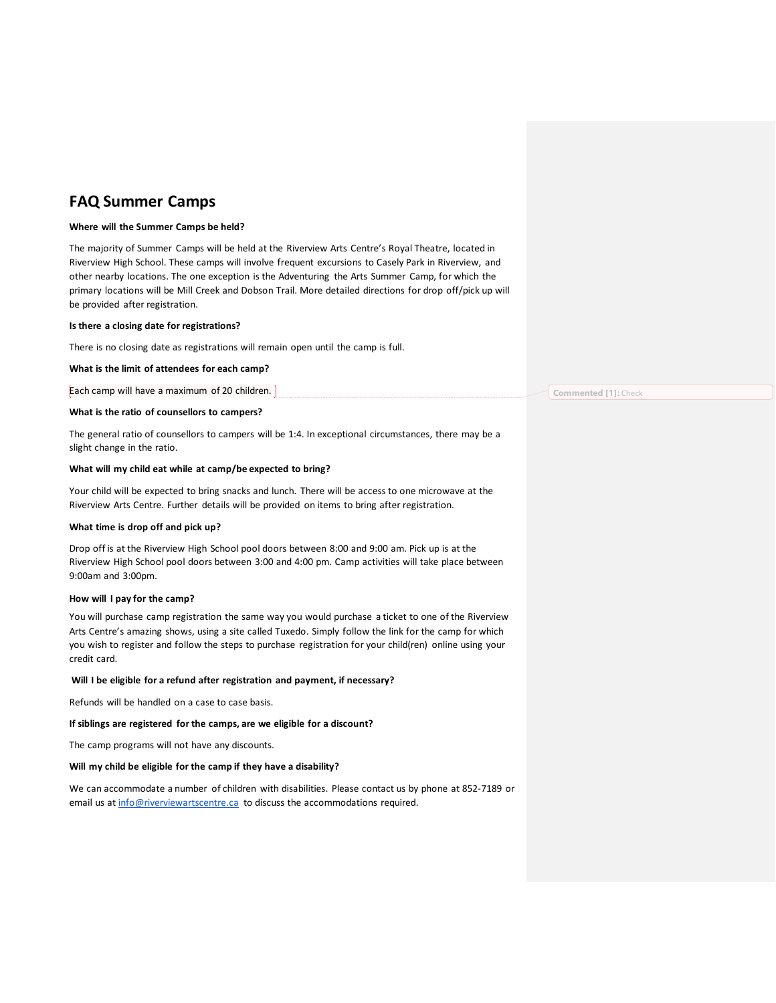# **FAQ Summer Camps**

## **Where will the Summer Camps be held?**

The majority of Summer Camps will be held at the Riverview Arts Centre's Royal Theatre, located in Riverview High School. These camps will involve frequent excursions to Casely Park in Riverview, and other nearby locations. The one exception is the Adventuring the Arts Summer Camp, for which the primary locations will be Mill Creek and Dobson Trail. More detailed directions for drop off/pick up will be provided after registration.

## **Is there a closing date for registrations?**

There is no closing date as registrations will remain open until the camp is full.

## **What is the limit of attendees for each camp?**

Each camp will have a maximum of 20 children.

## **What is the ratio of counsellors to campers?**

The general ratio of counsellors to campers will be 1:4. In exceptional circumstances, there may be a slight change in the ratio.

#### **What will my child eat while at camp/be expected to bring?**

Your child will be expected to bring snacks and lunch. There will be access to one microwave at the Riverview Arts Centre. Further details will be provided on items to bring after registration.

## **What time is drop off and pick up?**

Drop off is at the Riverview High School pool doors between 8:00 and 9:00 am. Pick up is at the Riverview High School pool doors between 3:00 and 4:00 pm. Camp activities will take place between 9:00am and 3:00pm.

## **How will I pay for the camp?**

You will purchase camp registration the same way you would purchase a ticket to one of the Riverview Arts Centre's amazing shows, using a site called Tuxedo. Simply follow the link for the camp for which you wish to register and follow the steps to purchase registration for your child(ren) online using your credit card.

## **Will I be eligible for a refund after registration and payment, if necessary?**

Refunds will be handled on a case to case basis.

## **If siblings are registered for the camps, are we eligible for a discount?**

The camp programs will not have any discounts.

## **Will my child be eligible for the camp if they have a disability?**

We can accommodate a number of children with disabilities. Please contact us by phone at 852-7189 or email us at [info@riverviewartscentre.ca](mailto:info@riverviewartscentre.ca) to discuss the accommodations required.

**Commented [1]:** Check